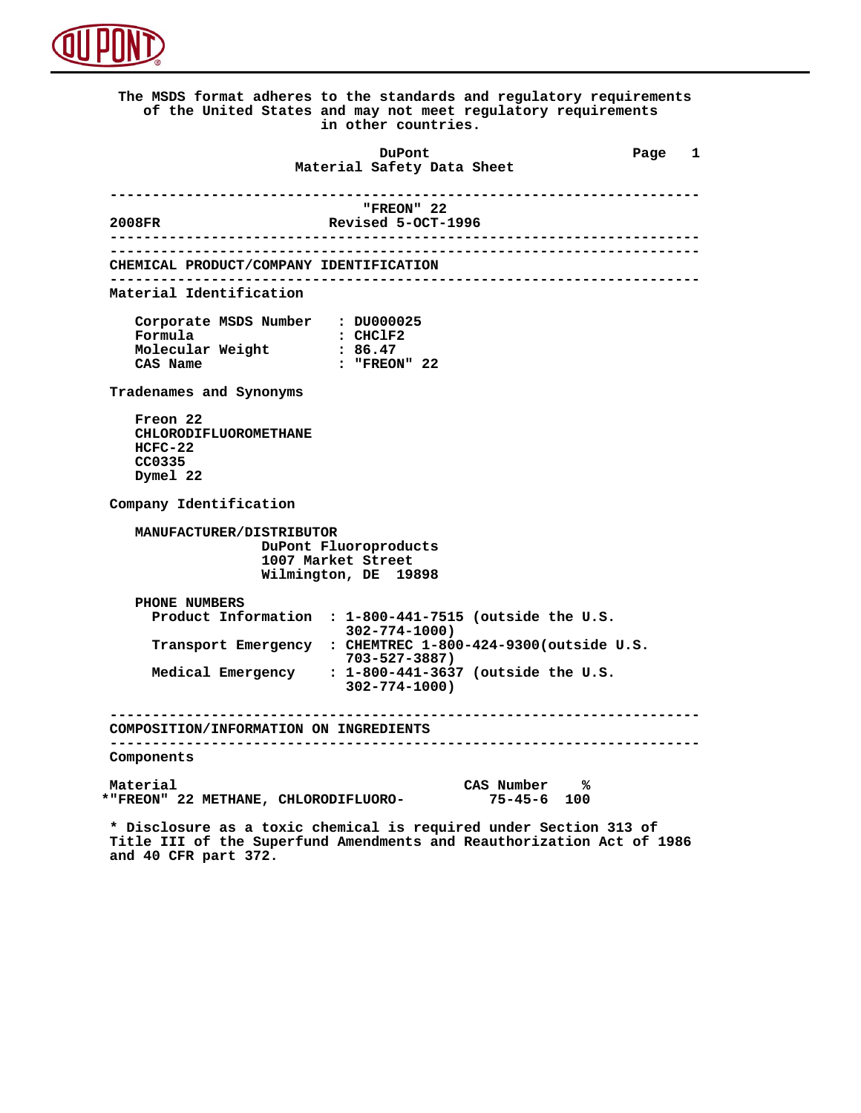

 **The MSDS format adheres to the standards and regulatory requirements of the United States and may not meet regulatory requirements in other countries. DuPont Different Page 1 Material Safety Data Sheet ----------------------------------------------------------------------** FREON" 22<sup>,</sup> "FREON" 2008FR<br>:-2008FR Revised 5-OCT  **2008FR Revised 5-OCT-1996 ---------------------------------------------------------------------- ---------------------------------------------------------------------- CHEMICAL PRODUCT/COMPANY IDENTIFICATION ---------------------------------------------------------------------- Material Identification Corporate MSDS Number : DU000025 Formula** : CHClF2<br> **Molecular Weight** : 86.47  **Molecular Weight<br>CAS Name : "FREON" 22 Tradenames and Synonyms Freon 22 CHLORODIFLUOROMETHANE HCFC-22 CC0335 Dymel 22 Company Identification MANUFACTURER/DISTRIBUTOR DuPont Fluoroproducts 1007 Market Street Wilmington, DE 19898 PHONE NUMBERS Product Information : 1-800-441-7515 (outside the U.S. 302-774-1000) Transport Emergency : CHEMTREC 1-800-424-9300(outside U.S. 703-527-3887) Medical Emergency : 1-800-441-3637 (outside the U.S. 302-774-1000) ---------------------------------------------------------------------- COMPOSITION/INFORMATION ON INGREDIENTS ---------------------------------------------------------------------- Components** Material CAS Number  $\frac{1}{8}$  CAS Number  $\frac{2}{100}$  METHANE, CHLORODIFLUORO- 75-45-6 100  **\*"FREON" 22 METHANE, CHLORODIFLUORO- 75-45-6 100 \* Disclosure as a toxic chemical is required under Section 313 of Title III of the Superfund Amendments and Reauthorization Act of 1986**

 **and 40 CFR part 372.**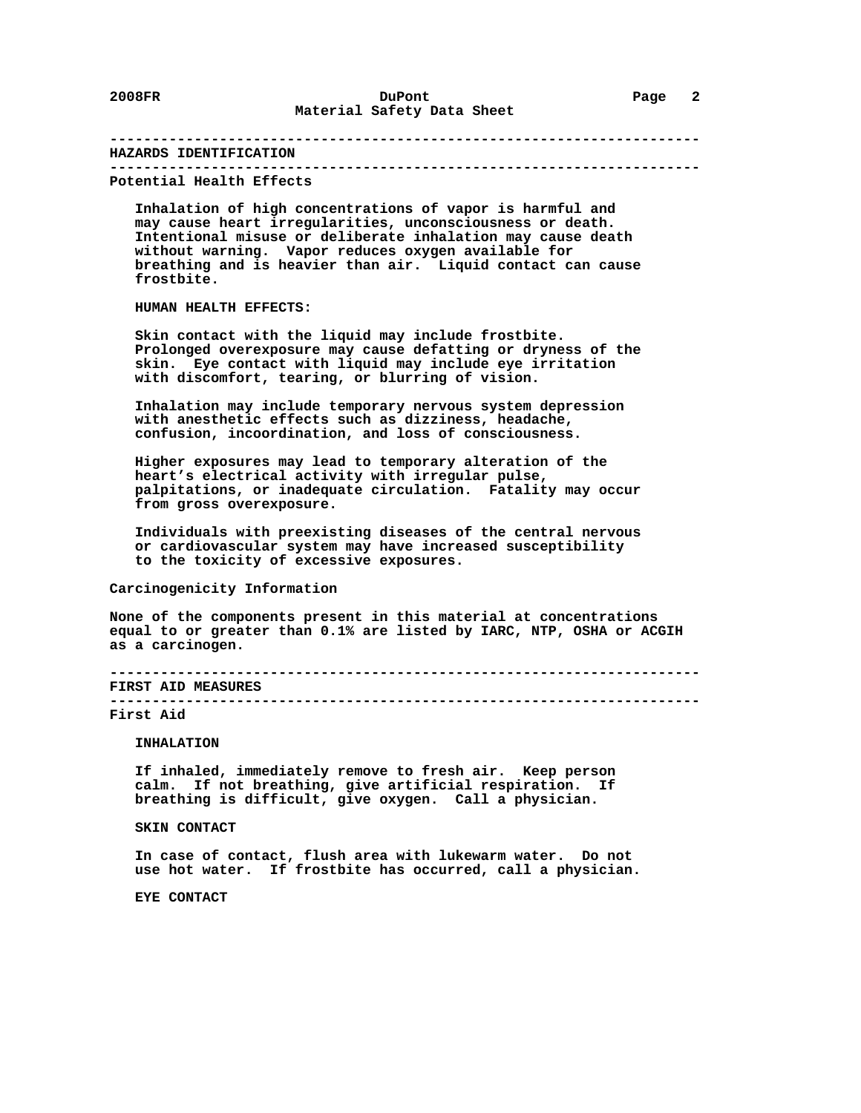#### **---------------------------------------------------------------------- HAZARDS IDENTIFICATION ----------------------------------------------------------------------**

 **Potential Health Effects**

 **Inhalation of high concentrations of vapor is harmful and may cause heart irregularities, unconsciousness or death. Intentional misuse or deliberate inhalation may cause death without warning. Vapor reduces oxygen available for breathing and is heavier than air. Liquid contact can cause frostbite.**

## **HUMAN HEALTH EFFECTS:**

 **Skin contact with the liquid may include frostbite. Prolonged overexposure may cause defatting or dryness of the skin. Eye contact with liquid may include eye irritation with discomfort, tearing, or blurring of vision.**

 **Inhalation may include temporary nervous system depression with anesthetic effects such as dizziness, headache, confusion, incoordination, and loss of consciousness.**

 **Higher exposures may lead to temporary alteration of the heart's electrical activity with irregular pulse, palpitations, or inadequate circulation. Fatality may occur from gross overexposure.**

 **Individuals with preexisting diseases of the central nervous or cardiovascular system may have increased susceptibility to the toxicity of excessive exposures.**

### **Carcinogenicity Information**

 **None of the components present in this material at concentrations equal to or greater than 0.1% are listed by IARC, NTP, OSHA or ACGIH as a carcinogen.**

 **---------------------------------------------------------------------- FIRST AID MEASURES ----------------------------------------------------------------------**

#### **First Aid**

 **INHALATION**

 **If inhaled, immediately remove to fresh air. Keep person calm. If not breathing, give artificial respiration. If breathing is difficult, give oxygen. Call a physician.**

# **SKIN CONTACT**

 **In case of contact, flush area with lukewarm water. Do not use hot water. If frostbite has occurred, call a physician.**

 **EYE CONTACT**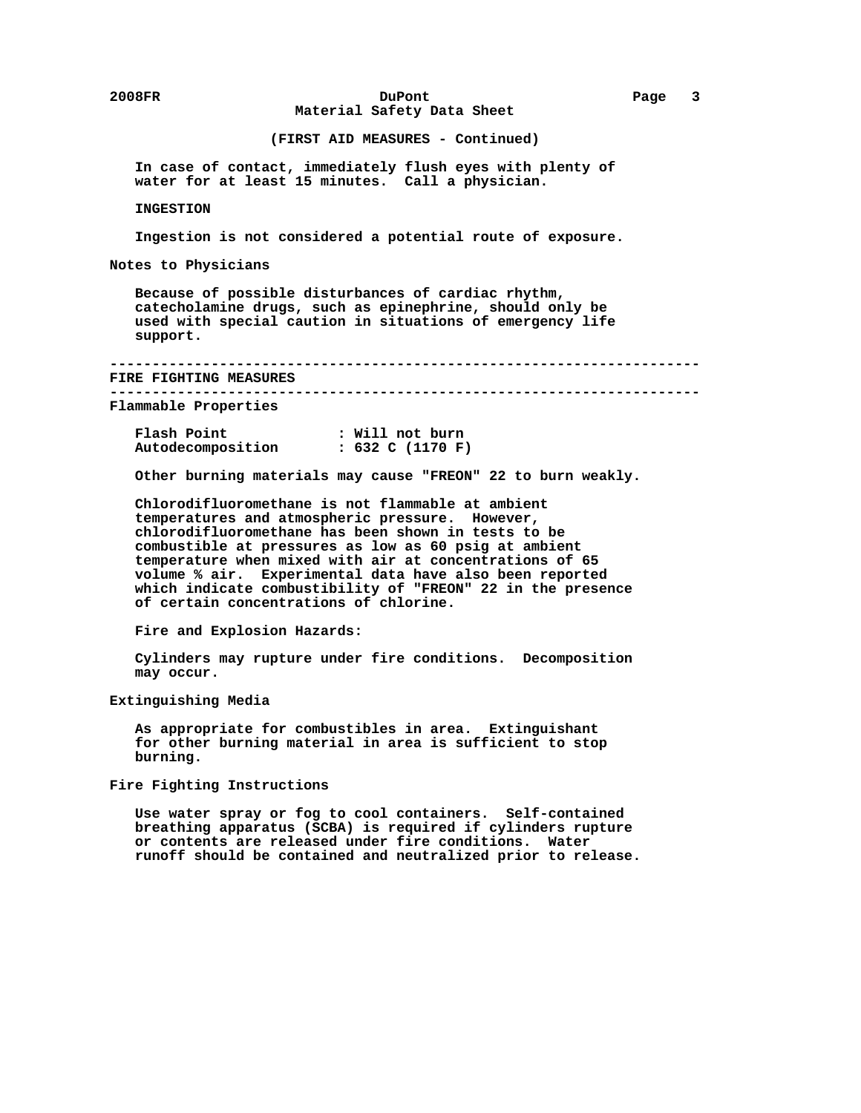# **2008FR DuPont Page 3 Material Safety Data Sheet**

# **(FIRST AID MEASURES - Continued)**

 **In case of contact, immediately flush eyes with plenty of water for at least 15 minutes. Call a physician.**

#### **INGESTION**

 **Ingestion is not considered a potential route of exposure.**

 **Notes to Physicians**

 **Because of possible disturbances of cardiac rhythm, catecholamine drugs, such as epinephrine, should only be used with special caution in situations of emergency life support.**

 **----------------------------------------------------------------------**

 **FIRE FIGHTING MEASURES ----------------------------------------------------------------------**

 **Flammable Properties**

| Flash Point       | : Will not burn  |
|-------------------|------------------|
| Autodecomposition | : 632 C (1170 F) |

 **Other burning materials may cause "FREON" 22 to burn weakly.**

 **Chlorodifluoromethane is not flammable at ambient temperatures and atmospheric pressure. However, chlorodifluoromethane has been shown in tests to be combustible at pressures as low as 60 psig at ambient temperature when mixed with air at concentrations of 65 volume % air. Experimental data have also been reported which indicate combustibility of "FREON" 22 in the presence of certain concentrations of chlorine.**

 **Fire and Explosion Hazards:**

 **Cylinders may rupture under fire conditions. Decomposition may occur.**

 **Extinguishing Media**

 **As appropriate for combustibles in area. Extinguishant for other burning material in area is sufficient to stop burning.**

 **Fire Fighting Instructions**

 **Use water spray or fog to cool containers. Self-contained breathing apparatus (SCBA) is required if cylinders rupture or contents are released under fire conditions. Water runoff should be contained and neutralized prior to release.**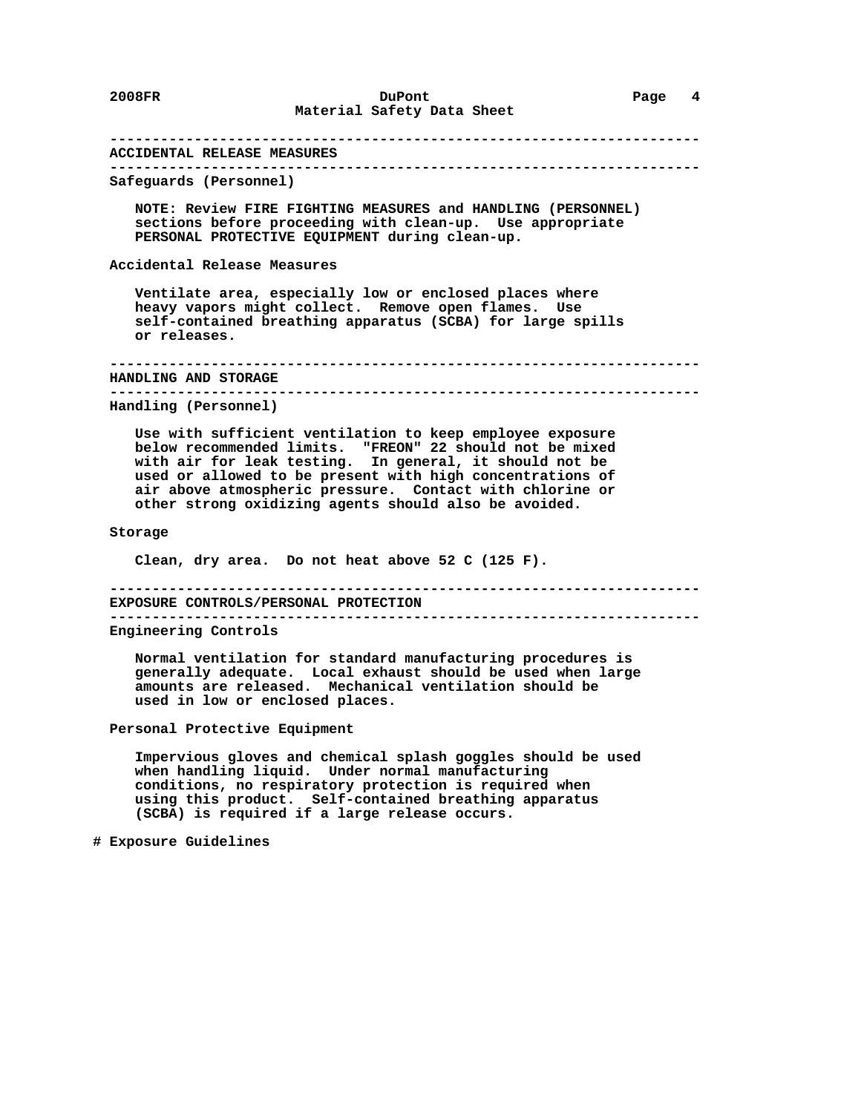# **---------------------------------------------------------------------- ACCIDENTAL RELEASE MEASURES ---------------------------------------------------------------------- Safeguards (Personnel) NOTE: Review FIRE FIGHTING MEASURES and HANDLING (PERSONNEL) sections before proceeding with clean-up. Use appropriate PERSONAL PROTECTIVE EQUIPMENT during clean-up. Accidental Release Measures Ventilate area, especially low or enclosed places where heavy vapors might collect. Remove open flames. Use self-contained breathing apparatus (SCBA) for large spills or releases. ---------------------------------------------------------------------- HANDLING AND STORAGE ---------------------------------------------------------------------- Handling (Personnel) Use with sufficient ventilation to keep employee exposure below recommended limits. "FREON" 22 should not be mixed with air for leak testing. In general, it should not be used or allowed to be present with high concentrations of air above atmospheric pressure. Contact with chlorine or other strong oxidizing agents should also be avoided. Storage Clean, dry area. Do not heat above 52 C (125 F). ---------------------------------------------------------------------- EXPOSURE CONTROLS/PERSONAL PROTECTION ---------------------------------------------------------------------- Engineering Controls Normal ventilation for standard manufacturing procedures is generally adequate. Local exhaust should be used when large amounts are released. Mechanical ventilation should be used in low or enclosed places. Personal Protective Equipment Impervious gloves and chemical splash goggles should be used when handling liquid. Under normal manufacturing conditions, no respiratory protection is required when using this product. Self-contained breathing apparatus**

 **# Exposure Guidelines**

 **(SCBA) is required if a large release occurs.**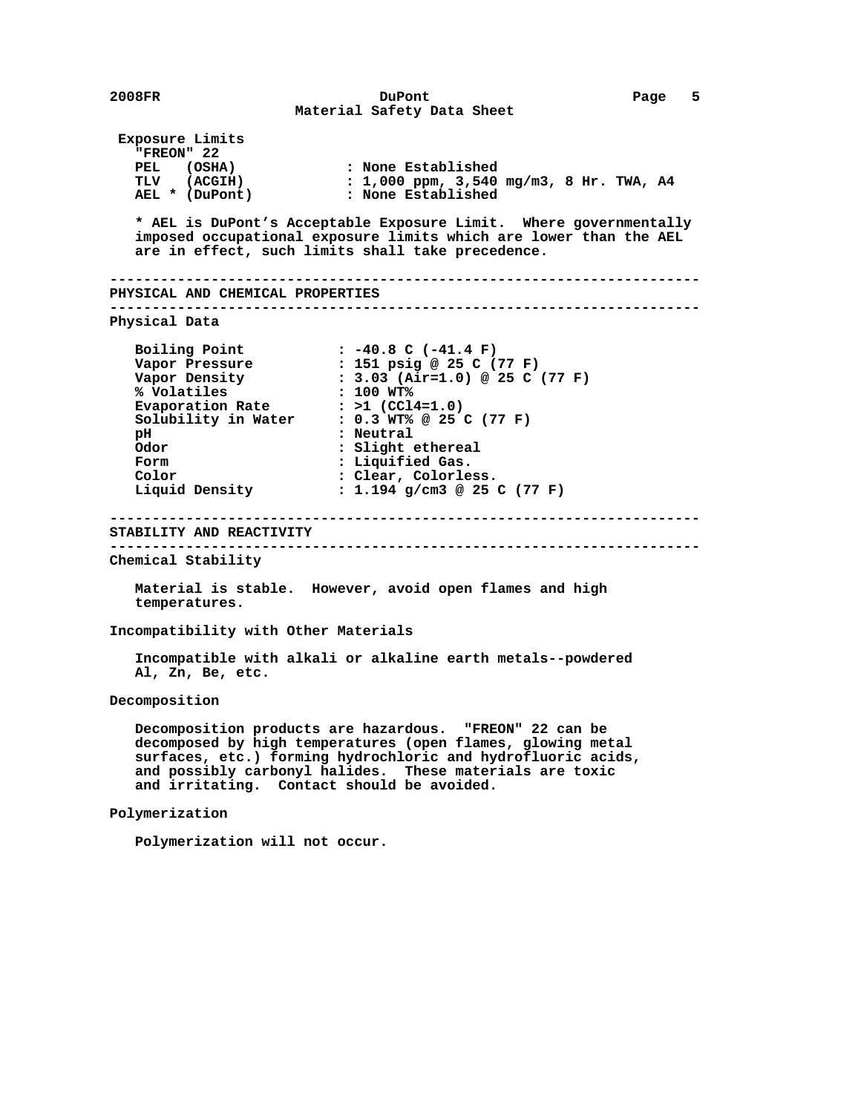**2008FR DuPont Page 5 Material Safety Data Sheet Exposure Limits "FREON" 22 PEL (OSHA) : None Established TLV (ACGIH) : 1,000 ppm, 3,540 mg/m3, 8 Hr. TWA, A4 AEL \* (DuPont) : None Established \* AEL is DuPont's Acceptable Exposure Limit. Where governmentally imposed occupational exposure limits which are lower than the AEL are in effect, such limits shall take precedence. ---------------------------------------------------------------------- PHYSICAL AND CHEMICAL PROPERTIES ---------------------------------------------------------------------- Physical Data Boiling Point : -40.8 C (-41.4 F) Vapor Pressure : 151 psig @ 25 C (77 F) Vapor Density : 3.03 (Air=1.0) @ 25 C (77 F) % Volatiles : 100 WT%** Evaporation Rate : >1 (CCl4=1.0)  **Solubility in Water : 0.3 WT% @ 25 C (77 F) pH : Neutral Odor : Slight ethereal Form : Liquified Gas. Color** : Clear, Colorless.<br> **Liquid Density** : 1.194 q/cm3 @ 25  **Liquid Density : 1.194 g/cm3 @ 25 C (77 F) ---------------------------------------------------------------------- STABILITY AND REACTIVITY ---------------------------------------------------------------------- Chemical Stability Material is stable. However, avoid open flames and high temperatures. Incompatibility with Other Materials Incompatible with alkali or alkaline earth metals--powdered Al, Zn, Be, etc. Decomposition Decomposition products are hazardous. "FREON" 22 can be decomposed by high temperatures (open flames, glowing metal surfaces, etc.) forming hydrochloric and hydrofluoric acids, and possibly carbonyl halides. These materials are toxic and irritating. Contact should be avoided. Polymerization Polymerization will not occur.**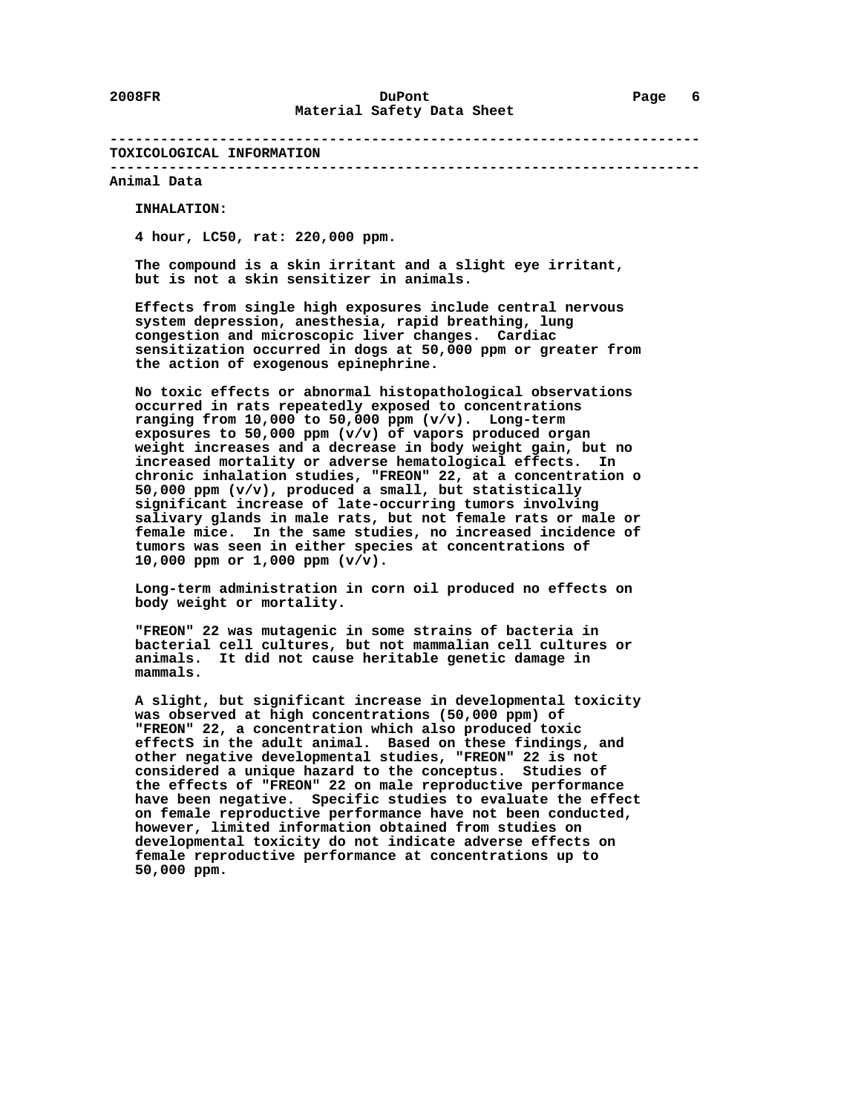#### **---------------------------------------------------------------------- TOXICOLOGICAL INFORMATION**

 **---------------------------------------------------------------------- Animal Data**

 **INHALATION:**

 **4 hour, LC50, rat: 220,000 ppm.**

 **The compound is a skin irritant and a slight eye irritant, but is not a skin sensitizer in animals.**

 **Effects from single high exposures include central nervous system depression, anesthesia, rapid breathing, lung congestion and microscopic liver changes. Cardiac sensitization occurred in dogs at 50,000 ppm or greater from the action of exogenous epinephrine.**

 **No toxic effects or abnormal histopathological observations occurred in rats repeatedly exposed to concentrations ranging from 10,000 to 50,000 ppm (v/v). Long-term exposures to 50,000 ppm (v/v) of vapors produced organ weight increases and a decrease in body weight gain, but no increased mortality or adverse hematological effects. In chronic inhalation studies, "FREON" 22, at a concentration o 50,000 ppm (v/v), produced a small, but statistically significant increase of late-occurring tumors involving salivary glands in male rats, but not female rats or male or female mice. In the same studies, no increased incidence of tumors was seen in either species at concentrations of 10,000 ppm or 1,000 ppm (v/v).**

 **Long-term administration in corn oil produced no effects on body weight or mortality.**

 **"FREON" 22 was mutagenic in some strains of bacteria in bacterial cell cultures, but not mammalian cell cultures or animals. It did not cause heritable genetic damage in mammals.**

 **A slight, but significant increase in developmental toxicity was observed at high concentrations (50,000 ppm) of "FREON" 22, a concentration which also produced toxic effectS in the adult animal. Based on these findings, and other negative developmental studies, "FREON" 22 is not considered a unique hazard to the conceptus. Studies of the effects of "FREON" 22 on male reproductive performance have been negative. Specific studies to evaluate the effect on female reproductive performance have not been conducted, however, limited information obtained from studies on developmental toxicity do not indicate adverse effects on female reproductive performance at concentrations up to 50,000 ppm.**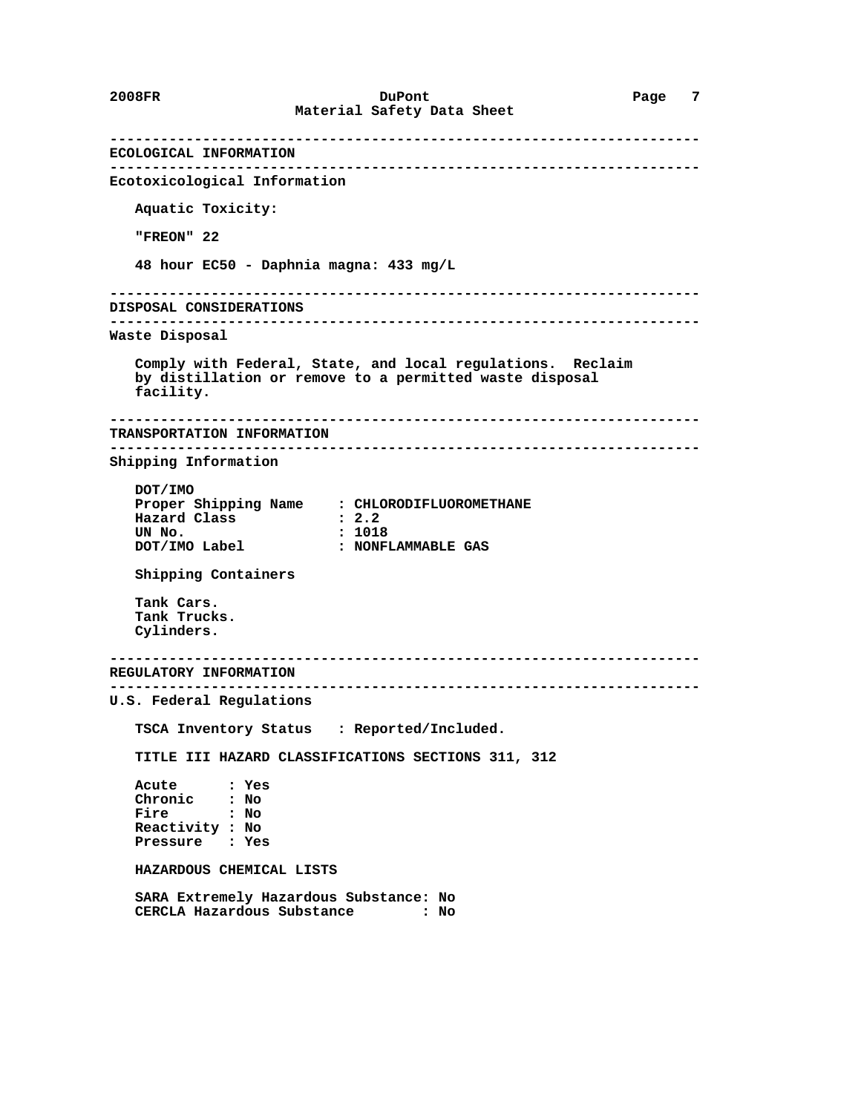**---------------------------------------------------------------------- ECOLOGICAL INFORMATION ---------------------------------------------------------------------- Ecotoxicological Information Aquatic Toxicity: "FREON" 22 48 hour EC50 - Daphnia magna: 433 mg/L ---------------------------------------------------------------------- DISPOSAL CONSIDERATIONS ---------------------------------------------------------------------- Waste Disposal Comply with Federal, State, and local regulations. Reclaim by distillation or remove to a permitted waste disposal facility. ---------------------------------------------------------------------- TRANSPORTATION INFORMATION ---------------------------------------------------------------------- Shipping Information DOT/IMO Proper Shipping Name : CHLORODIFLUOROMETHANE Hazard Class**  $\qquad \qquad : 2.2$ <br> **UN No.**  $\qquad \qquad : 1018$  **UN No. : 1018 : NONFLAMMABLE GAS Shipping Containers Tank Cars. Tank Trucks. Cylinders. ---------------------------------------------------------------------- REGULATORY INFORMATION ---------------------------------------------------------------------- U.S. Federal Regulations TSCA Inventory Status : Reported/Included. TITLE III HAZARD CLASSIFICATIONS SECTIONS 311, 312 Acute : Yes Chronic : No Fire : No Reactivity : No Pressure : Yes HAZARDOUS CHEMICAL LISTS SARA Extremely Hazardous Substance: No CERCLA Hazardous Substance**